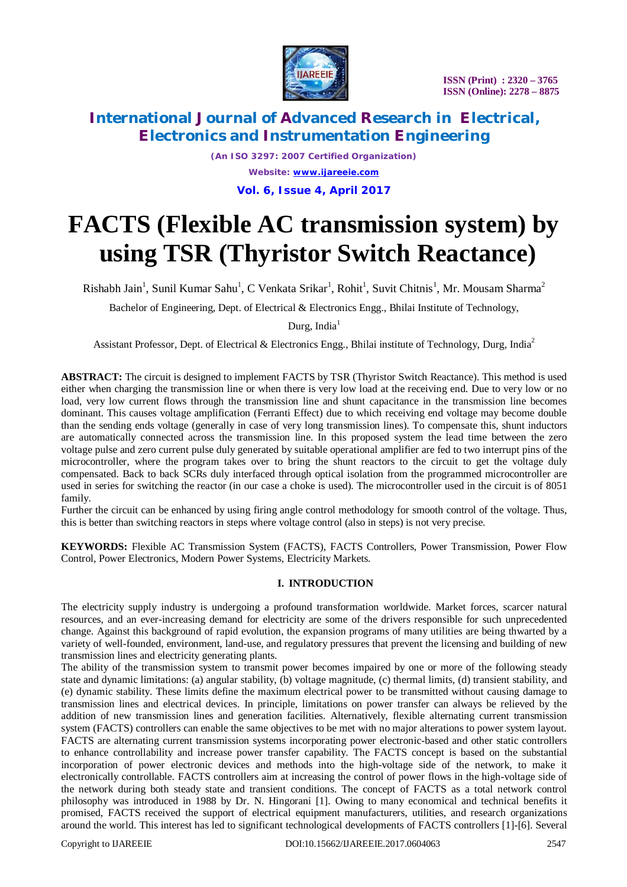

## **International Journal of Advanced Research in Electrical, Electronics and Instrumentation Engineering**

*(An ISO 3297: 2007 Certified Organization) Website: [www.ijareeie.com](http://www.ijareeie.com)* **Vol. 6, Issue 4, April 2017**

# **FACTS (Flexible AC transmission system) by using TSR (Thyristor Switch Reactance)**

Rishabh Jain<sup>1</sup>, Sunil Kumar Sahu<sup>1</sup>, C Venkata Srikar<sup>1</sup>, Rohit<sup>1</sup>, Suvit Chitnis<sup>1</sup>, Mr. Mousam Sharma<sup>2</sup>

Bachelor of Engineering, Dept. of Electrical & Electronics Engg., Bhilai Institute of Technology,

Durg, India $<sup>1</sup>$ </sup>

Assistant Professor, Dept. of Electrical & Electronics Engg., Bhilai institute of Technology, Durg, India<sup>2</sup>

**ABSTRACT:** The circuit is designed to implement FACTS by TSR (Thyristor Switch Reactance). This method is used either when charging the transmission line or when there is very low load at the receiving end. Due to very low or no load, very low current flows through the transmission line and shunt capacitance in the transmission line becomes dominant. This causes voltage amplification (Ferranti Effect) due to which receiving end voltage may become double than the sending ends voltage (generally in case of very long transmission lines). To compensate this, shunt inductors are automatically connected across the transmission line. In this proposed system the lead time between the zero voltage pulse and zero current pulse duly generated by suitable operational amplifier are fed to two interrupt pins of the microcontroller, where the program takes over to bring the shunt reactors to the circuit to get the voltage duly compensated. Back to back SCRs duly interfaced through optical isolation from the programmed microcontroller are used in series for switching the reactor (in our case a choke is used). The microcontroller used in the circuit is of 8051 family.

Further the circuit can be enhanced by using firing angle control methodology for smooth control of the voltage. Thus, this is better than switching reactors in steps where voltage control (also in steps) is not very precise.

**KEYWORDS:** Flexible AC Transmission System (FACTS), FACTS Controllers, Power Transmission, Power Flow Control, Power Electronics, Modern Power Systems, Electricity Markets.

### **I. INTRODUCTION**

The electricity supply industry is undergoing a profound transformation worldwide. Market forces, scarcer natural resources, and an ever-increasing demand for electricity are some of the drivers responsible for such unprecedented change. Against this background of rapid evolution, the expansion programs of many utilities are being thwarted by a variety of well-founded, environment, land-use, and regulatory pressures that prevent the licensing and building of new transmission lines and electricity generating plants.

The ability of the transmission system to transmit power becomes impaired by one or more of the following steady state and dynamic limitations: (a) angular stability, (b) voltage magnitude, (c) thermal limits, (d) transient stability, and (e) dynamic stability. These limits define the maximum electrical power to be transmitted without causing damage to transmission lines and electrical devices. In principle, limitations on power transfer can always be relieved by the addition of new transmission lines and generation facilities. Alternatively, flexible alternating current transmission system (FACTS) controllers can enable the same objectives to be met with no major alterations to power system layout. FACTS are alternating current transmission systems incorporating power electronic-based and other static controllers to enhance controllability and increase power transfer capability. The FACTS concept is based on the substantial incorporation of power electronic devices and methods into the high-voltage side of the network, to make it electronically controllable. FACTS controllers aim at increasing the control of power flows in the high-voltage side of the network during both steady state and transient conditions. The concept of FACTS as a total network control philosophy was introduced in 1988 by Dr. N. Hingorani [1]. Owing to many economical and technical benefits it promised, FACTS received the support of electrical equipment manufacturers, utilities, and research organizations around the world. This interest has led to significant technological developments of FACTS controllers [1]-[6]. Several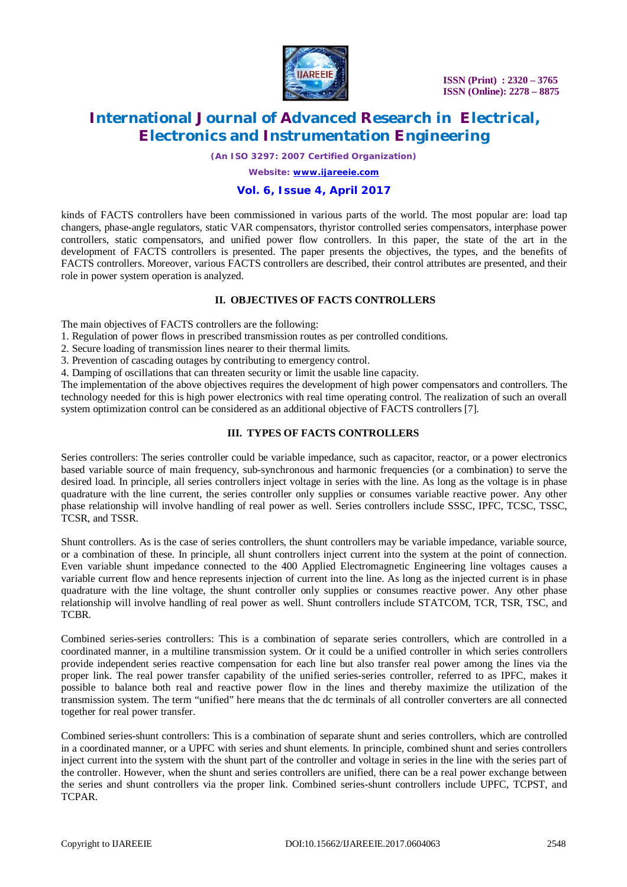

## **International Journal of Advanced Research in Electrical, Electronics and Instrumentation Engineering**

*(An ISO 3297: 2007 Certified Organization)*

*Website: [www.ijareeie.com](http://www.ijareeie.com)*

### **Vol. 6, Issue 4, April 2017**

kinds of FACTS controllers have been commissioned in various parts of the world. The most popular are: load tap changers, phase-angle regulators, static VAR compensators, thyristor controlled series compensators, interphase power controllers, static compensators, and unified power flow controllers. In this paper, the state of the art in the development of FACTS controllers is presented. The paper presents the objectives, the types, and the benefits of FACTS controllers. Moreover, various FACTS controllers are described, their control attributes are presented, and their role in power system operation is analyzed.

#### **II. OBJECTIVES OF FACTS CONTROLLERS**

The main objectives of FACTS controllers are the following:

- 1. Regulation of power flows in prescribed transmission routes as per controlled conditions.
- 2. Secure loading of transmission lines nearer to their thermal limits.
- 3. Prevention of cascading outages by contributing to emergency control.
- 4. Damping of oscillations that can threaten security or limit the usable line capacity.

The implementation of the above objectives requires the development of high power compensators and controllers. The technology needed for this is high power electronics with real time operating control. The realization of such an overall system optimization control can be considered as an additional objective of FACTS controllers [7].

### **III. TYPES OF FACTS CONTROLLERS**

Series controllers: The series controller could be variable impedance, such as capacitor, reactor, or a power electronics based variable source of main frequency, sub-synchronous and harmonic frequencies (or a combination) to serve the desired load. In principle, all series controllers inject voltage in series with the line. As long as the voltage is in phase quadrature with the line current, the series controller only supplies or consumes variable reactive power. Any other phase relationship will involve handling of real power as well. Series controllers include SSSC, IPFC, TCSC, TSSC, TCSR, and TSSR.

Shunt controllers. As is the case of series controllers, the shunt controllers may be variable impedance, variable source, or a combination of these. In principle, all shunt controllers inject current into the system at the point of connection. Even variable shunt impedance connected to the 400 Applied Electromagnetic Engineering line voltages causes a variable current flow and hence represents injection of current into the line. As long as the injected current is in phase quadrature with the line voltage, the shunt controller only supplies or consumes reactive power. Any other phase relationship will involve handling of real power as well. Shunt controllers include STATCOM, TCR, TSR, TSC, and TCBR.

Combined series-series controllers: This is a combination of separate series controllers, which are controlled in a coordinated manner, in a multiline transmission system. Or it could be a unified controller in which series controllers provide independent series reactive compensation for each line but also transfer real power among the lines via the proper link. The real power transfer capability of the unified series-series controller, referred to as IPFC, makes it possible to balance both real and reactive power flow in the lines and thereby maximize the utilization of the transmission system. The term "unified" here means that the dc terminals of all controller converters are all connected together for real power transfer.

Combined series-shunt controllers: This is a combination of separate shunt and series controllers, which are controlled in a coordinated manner, or a UPFC with series and shunt elements. In principle, combined shunt and series controllers inject current into the system with the shunt part of the controller and voltage in series in the line with the series part of the controller. However, when the shunt and series controllers are unified, there can be a real power exchange between the series and shunt controllers via the proper link. Combined series-shunt controllers include UPFC, TCPST, and **TCPAR**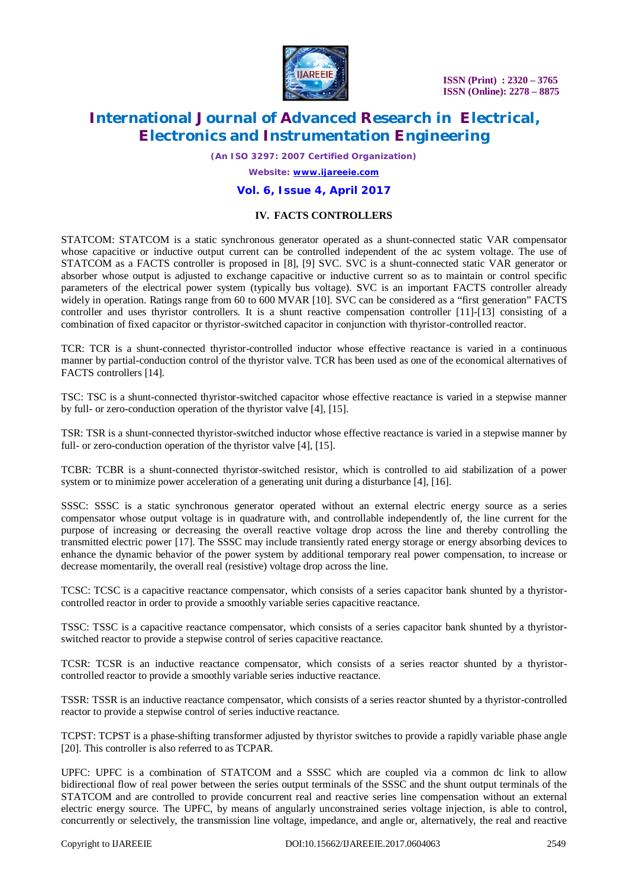

## **International Journal of Advanced Research in Electrical, Electronics and Instrumentation Engineering**

*(An ISO 3297: 2007 Certified Organization)*

*Website: [www.ijareeie.com](http://www.ijareeie.com)*

### **Vol. 6, Issue 4, April 2017**

### **IV. FACTS CONTROLLERS**

STATCOM: STATCOM is a static synchronous generator operated as a shunt-connected static VAR compensator whose capacitive or inductive output current can be controlled independent of the ac system voltage. The use of STATCOM as a FACTS controller is proposed in [8], [9] SVC. SVC is a shunt-connected static VAR generator or absorber whose output is adjusted to exchange capacitive or inductive current so as to maintain or control specific parameters of the electrical power system (typically bus voltage). SVC is an important FACTS controller already widely in operation. Ratings range from 60 to 600 MVAR [10]. SVC can be considered as a "first generation" FACTS controller and uses thyristor controllers. It is a shunt reactive compensation controller [11]-[13] consisting of a combination of fixed capacitor or thyristor-switched capacitor in conjunction with thyristor-controlled reactor.

TCR: TCR is a shunt-connected thyristor-controlled inductor whose effective reactance is varied in a continuous manner by partial-conduction control of the thyristor valve. TCR has been used as one of the economical alternatives of FACTS controllers [14].

TSC: TSC is a shunt-connected thyristor-switched capacitor whose effective reactance is varied in a stepwise manner by full- or zero-conduction operation of the thyristor valve [4], [15].

TSR: TSR is a shunt-connected thyristor-switched inductor whose effective reactance is varied in a stepwise manner by full- or zero-conduction operation of the thyristor valve [4], [15].

TCBR: TCBR is a shunt-connected thyristor-switched resistor, which is controlled to aid stabilization of a power system or to minimize power acceleration of a generating unit during a disturbance [4], [16].

SSSC: SSSC is a static synchronous generator operated without an external electric energy source as a series compensator whose output voltage is in quadrature with, and controllable independently of, the line current for the purpose of increasing or decreasing the overall reactive voltage drop across the line and thereby controlling the transmitted electric power [17]. The SSSC may include transiently rated energy storage or energy absorbing devices to enhance the dynamic behavior of the power system by additional temporary real power compensation, to increase or decrease momentarily, the overall real (resistive) voltage drop across the line.

TCSC: TCSC is a capacitive reactance compensator, which consists of a series capacitor bank shunted by a thyristorcontrolled reactor in order to provide a smoothly variable series capacitive reactance.

TSSC: TSSC is a capacitive reactance compensator, which consists of a series capacitor bank shunted by a thyristorswitched reactor to provide a stepwise control of series capacitive reactance.

TCSR: TCSR is an inductive reactance compensator, which consists of a series reactor shunted by a thyristorcontrolled reactor to provide a smoothly variable series inductive reactance.

TSSR: TSSR is an inductive reactance compensator, which consists of a series reactor shunted by a thyristor-controlled reactor to provide a stepwise control of series inductive reactance.

TCPST: TCPST is a phase-shifting transformer adjusted by thyristor switches to provide a rapidly variable phase angle [20]. This controller is also referred to as TCPAR.

UPFC: UPFC is a combination of STATCOM and a SSSC which are coupled via a common dc link to allow bidirectional flow of real power between the series output terminals of the SSSC and the shunt output terminals of the STATCOM and are controlled to provide concurrent real and reactive series line compensation without an external electric energy source. The UPFC, by means of angularly unconstrained series voltage injection, is able to control, concurrently or selectively, the transmission line voltage, impedance, and angle or, alternatively, the real and reactive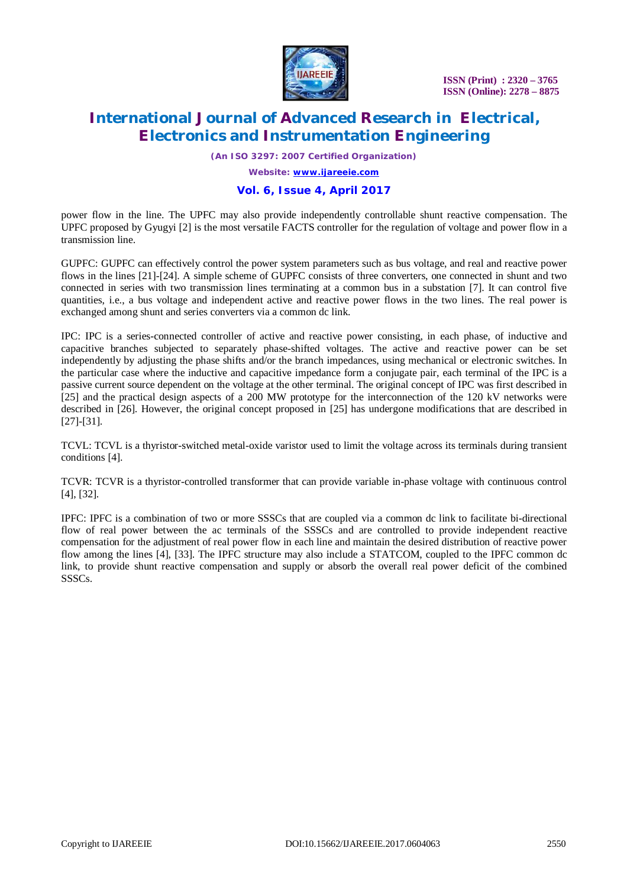

## **International Journal of Advanced Research in Electrical, Electronics and Instrumentation Engineering**

*(An ISO 3297: 2007 Certified Organization)*

*Website: [www.ijareeie.com](http://www.ijareeie.com)*

### **Vol. 6, Issue 4, April 2017**

power flow in the line. The UPFC may also provide independently controllable shunt reactive compensation. The UPFC proposed by Gyugyi [2] is the most versatile FACTS controller for the regulation of voltage and power flow in a transmission line.

GUPFC: GUPFC can effectively control the power system parameters such as bus voltage, and real and reactive power flows in the lines [21]-[24]. A simple scheme of GUPFC consists of three converters, one connected in shunt and two connected in series with two transmission lines terminating at a common bus in a substation [7]. It can control five quantities, i.e., a bus voltage and independent active and reactive power flows in the two lines. The real power is exchanged among shunt and series converters via a common dc link.

IPC: IPC is a series-connected controller of active and reactive power consisting, in each phase, of inductive and capacitive branches subjected to separately phase-shifted voltages. The active and reactive power can be set independently by adjusting the phase shifts and/or the branch impedances, using mechanical or electronic switches. In the particular case where the inductive and capacitive impedance form a conjugate pair, each terminal of the IPC is a passive current source dependent on the voltage at the other terminal. The original concept of IPC was first described in [25] and the practical design aspects of a 200 MW prototype for the interconnection of the 120 kV networks were described in [26]. However, the original concept proposed in [25] has undergone modifications that are described in [27]-[31].

TCVL: TCVL is a thyristor-switched metal-oxide varistor used to limit the voltage across its terminals during transient conditions [4].

TCVR: TCVR is a thyristor-controlled transformer that can provide variable in-phase voltage with continuous control [4], [32].

IPFC: IPFC is a combination of two or more SSSCs that are coupled via a common dc link to facilitate bi-directional flow of real power between the ac terminals of the SSSCs and are controlled to provide independent reactive compensation for the adjustment of real power flow in each line and maintain the desired distribution of reactive power flow among the lines [4], [33]. The IPFC structure may also include a STATCOM, coupled to the IPFC common dc link, to provide shunt reactive compensation and supply or absorb the overall real power deficit of the combined SSSCs.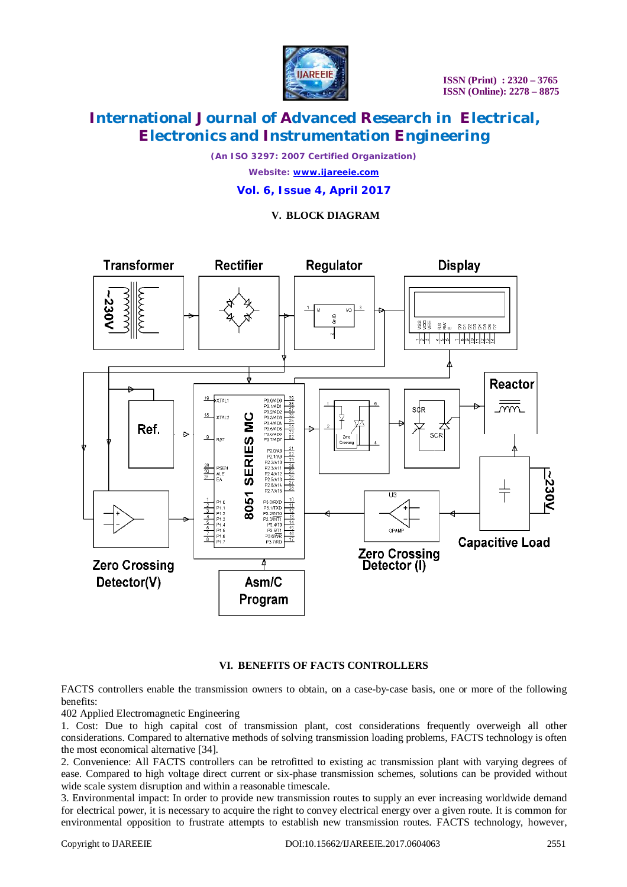

## **International Journal of Advanced Research in Electrical, Electronics and Instrumentation Engineering**

*(An ISO 3297: 2007 Certified Organization)*

*Website: [www.ijareeie.com](http://www.ijareeie.com)*

**Vol. 6, Issue 4, April 2017**

### **V. BLOCK DIAGRAM**



### **VI. BENEFITS OF FACTS CONTROLLERS**

FACTS controllers enable the transmission owners to obtain, on a case-by-case basis, one or more of the following benefits:

402 Applied Electromagnetic Engineering

1. Cost: Due to high capital cost of transmission plant, cost considerations frequently overweigh all other considerations. Compared to alternative methods of solving transmission loading problems, FACTS technology is often the most economical alternative [34].

2. Convenience: All FACTS controllers can be retrofitted to existing ac transmission plant with varying degrees of ease. Compared to high voltage direct current or six-phase transmission schemes, solutions can be provided without wide scale system disruption and within a reasonable timescale.

3. Environmental impact: In order to provide new transmission routes to supply an ever increasing worldwide demand for electrical power, it is necessary to acquire the right to convey electrical energy over a given route. It is common for environmental opposition to frustrate attempts to establish new transmission routes. FACTS technology, however,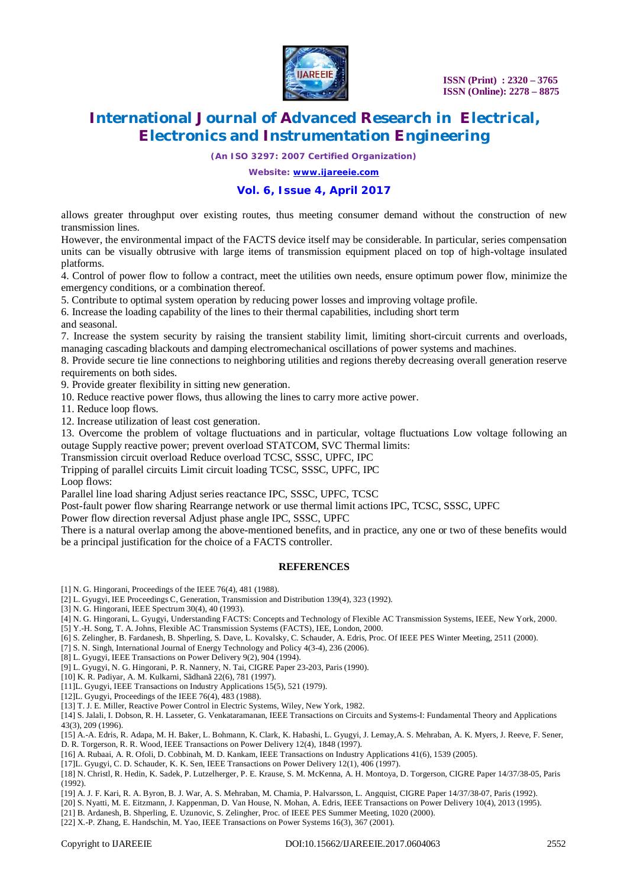

### **International Journal of Advanced Research in Electrical, Electronics and Instrumentation Engineering**

*(An ISO 3297: 2007 Certified Organization)*

*Website: [www.ijareeie.com](http://www.ijareeie.com)*

### **Vol. 6, Issue 4, April 2017**

allows greater throughput over existing routes, thus meeting consumer demand without the construction of new transmission lines.

However, the environmental impact of the FACTS device itself may be considerable. In particular, series compensation units can be visually obtrusive with large items of transmission equipment placed on top of high-voltage insulated platforms.

4. Control of power flow to follow a contract, meet the utilities own needs, ensure optimum power flow, minimize the emergency conditions, or a combination thereof.

5. Contribute to optimal system operation by reducing power losses and improving voltage profile.

6. Increase the loading capability of the lines to their thermal capabilities, including short term and seasonal.

7. Increase the system security by raising the transient stability limit, limiting short-circuit currents and overloads, managing cascading blackouts and damping electromechanical oscillations of power systems and machines.

8. Provide secure tie line connections to neighboring utilities and regions thereby decreasing overall generation reserve requirements on both sides.

9. Provide greater flexibility in sitting new generation.

10. Reduce reactive power flows, thus allowing the lines to carry more active power.

11. Reduce loop flows.

12. Increase utilization of least cost generation.

13. Overcome the problem of voltage fluctuations and in particular, voltage fluctuations Low voltage following an outage Supply reactive power; prevent overload STATCOM, SVC Thermal limits:

Transmission circuit overload Reduce overload TCSC, SSSC, UPFC, IPC

Tripping of parallel circuits Limit circuit loading TCSC, SSSC, UPFC, IPC Loop flows:

Parallel line load sharing Adjust series reactance IPC, SSSC, UPFC, TCSC

Post-fault power flow sharing Rearrange network or use thermal limit actions IPC, TCSC, SSSC, UPFC

Power flow direction reversal Adjust phase angle IPC, SSSC, UPFC

There is a natural overlap among the above-mentioned benefits, and in practice, any one or two of these benefits would be a principal justification for the choice of a FACTS controller.

#### **REFERENCES**

- [1] N. G. Hingorani, Proceedings of the IEEE 76(4), 481 (1988).
- [2] L. Gyugyi, IEE Proceedings C, Generation, Transmission and Distribution 139(4), 323 (1992).
- [3] N. G. Hingorani, IEEE Spectrum 30(4), 40 (1993).
- [4] N. G. Hingorani, L. Gyugyi, Understanding FACTS: Concepts and Technology of Flexible AC Transmission Systems, IEEE, New York, 2000.

[5] Y.-H. Song, T. A. Johns, Flexible AC Transmission Systems (FACTS), IEE, London, 2000.

- [6] S. Zelingher, B. Fardanesh, B. Shperling, S. Dave, L. Kovalsky, C. Schauder, A. Edris, Proc. Of IEEE PES Winter Meeting, 2511 (2000).
- [7] S. N. Singh, International Journal of Energy Technology and Policy 4(3-4), 236 (2006).
- [8] L. Gyugyi, IEEE Transactions on Power Delivery 9(2), 904 (1994).

[9] L. Gyugyi, N. G. Hingorani, P. R. Nannery, N. Tai, CIGRE Paper 23-203, Paris (1990).

- [10] K. R. Padiyar, A. M. Kulkarni, Sãdhanã 22(6), 781 (1997).
- [11]L. Gyugyi, IEEE Transactions on Industry Applications 15(5), 521 (1979).

[12]L. Gyugyi, Proceedings of the IEEE 76(4), 483 (1988). [13] T. J. E. Miller, Reactive Power Control in Electric Systems, Wiley, New York, 1982.

[14] S. Jalali, I. Dobson, R. H. Lasseter, G. Venkataramanan, IEEE Transactions on Circuits and Systems-I: Fundamental Theory and Applications 43(3), 209 (1996).

[15] A.-A. Edris, R. Adapa, M. H. Baker, L. Bohmann, K. Clark, K. Habashi, L. Gyugyi, J. Lemay,A. S. Mehraban, A. K. Myers, J. Reeve, F. Sener, D. R. Torgerson, R. R. Wood, IEEE Transactions on Power Delivery 12(4), 1848 (1997).

[16] A. Rubaai, A. R. Ofoli, D. Cobbinah, M. D. Kankam, IEEE Transactions on Industry Applications 41(6), 1539 (2005).

[17]L. Gyugyi, C. D. Schauder, K. K. Sen, IEEE Transactions on Power Delivery 12(1), 406 (1997).

[18] N. Christl, R. Hedin, K. Sadek, P. Lutzelherger, P. E. Krause, S. M. McKenna, A. H. Montoya, D. Torgerson, CIGRE Paper 14/37/38-05, Paris (1992).

[19] A. J. F. Kari, R. A. Byron, B. J. War, A. S. Mehraban, M. Chamia, P. Halvarsson, L. Angquist, CIGRE Paper 14/37/38-07, Paris (1992).

[20] S. Nyatti, M. E. Eitzmann, J. Kappenman, D. Van House, N. Mohan, A. Edris, IEEE Transactions on Power Delivery 10(4), 2013 (1995).

[21] B. Ardanesh, B. Shperling, E. Uzunovic, S. Zelingher, Proc. of IEEE PES Summer Meeting, 1020 (2000).

[22] X.-P. Zhang, E. Handschin, M. Yao, IEEE Transactions on Power Systems 16(3), 367 (2001).